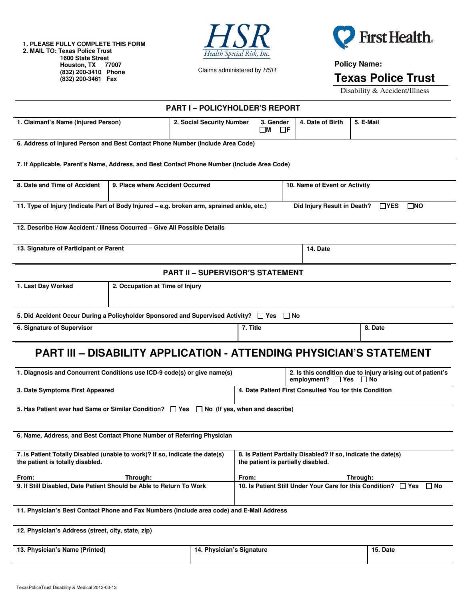**1. PLEASE FULLY COMPLETE THIS FORM 2. MAIL TO: Texas Police Trust 1600 State Street Houston, TX 77007 (832) 200-3410 Phone (832) 200-3461 Fax** 



Claims administered by HSR



**Policy Name:**

**Texas Police Trust** 

Disability & Accident/Illness

| <b>PART I - POLICYHOLDER'S REPORT</b>                                                                                                                   |                                  |                           |                                                                                                     |          |                               |                                                             |  |
|---------------------------------------------------------------------------------------------------------------------------------------------------------|----------------------------------|---------------------------|-----------------------------------------------------------------------------------------------------|----------|-------------------------------|-------------------------------------------------------------|--|
| 1. Claimant's Name (Injured Person)                                                                                                                     |                                  | 2. Social Security Number | 3. Gender<br>$\Box$ F<br>□м                                                                         |          | 4. Date of Birth              | 5. E-Mail                                                   |  |
| 6. Address of Injured Person and Best Contact Phone Number (Include Area Code)                                                                          |                                  |                           |                                                                                                     |          |                               |                                                             |  |
| 7. If Applicable, Parent's Name, Address, and Best Contact Phone Number (Include Area Code)                                                             |                                  |                           |                                                                                                     |          |                               |                                                             |  |
| 8. Date and Time of Accident                                                                                                                            | 9. Place where Accident Occurred |                           |                                                                                                     |          | 10. Name of Event or Activity |                                                             |  |
| 11. Type of Injury (Indicate Part of Body Injured - e.g. broken arm, sprained ankle, etc.)<br>Did Injury Result in Death?<br>$\Box$ YES<br>$\square$ NO |                                  |                           |                                                                                                     |          |                               |                                                             |  |
| 12. Describe How Accident / Illness Occurred - Give All Possible Details                                                                                |                                  |                           |                                                                                                     |          |                               |                                                             |  |
| 13. Signature of Participant or Parent                                                                                                                  |                                  |                           |                                                                                                     | 14. Date |                               |                                                             |  |
| <b>PART II - SUPERVISOR'S STATEMENT</b>                                                                                                                 |                                  |                           |                                                                                                     |          |                               |                                                             |  |
| 1. Last Day Worked<br>2. Occupation at Time of Injury                                                                                                   |                                  |                           |                                                                                                     |          |                               |                                                             |  |
| 5. Did Accident Occur During a Policyholder Sponsored and Supervised Activity? $\Box$ Yes $\Box$ No                                                     |                                  |                           |                                                                                                     |          |                               |                                                             |  |
| 6. Signature of Supervisor                                                                                                                              |                                  | 7. Title                  |                                                                                                     |          | 8. Date                       |                                                             |  |
| <b>PART III - DISABILITY APPLICATION - ATTENDING PHYSICIAN'S STATEMENT</b>                                                                              |                                  |                           |                                                                                                     |          |                               |                                                             |  |
| 1. Diagnosis and Concurrent Conditions use ICD-9 code(s) or give name(s)                                                                                |                                  |                           | employment? □ Yes □ No                                                                              |          |                               | 2. Is this condition due to injury arising out of patient's |  |
| 3. Date Symptoms First Appeared                                                                                                                         |                                  |                           | 4. Date Patient First Consulted You for this Condition                                              |          |                               |                                                             |  |
| 5. Has Patient ever had Same or Similar Condition? $\Box$ Yes $\Box$ No (If yes, when and describe)                                                     |                                  |                           |                                                                                                     |          |                               |                                                             |  |
| 6. Name, Address, and Best Contact Phone Number of Referring Physician                                                                                  |                                  |                           |                                                                                                     |          |                               |                                                             |  |
| 7. Is Patient Totally Disabled (unable to work)? If so, indicate the date(s)<br>the patient is totally disabled.                                        |                                  |                           | 8. Is Patient Partially Disabled? If so, indicate the date(s)<br>the patient is partially disabled. |          |                               |                                                             |  |
| From:<br>Through:<br>9. If Still Disabled, Date Patient Should be Able to Return To Work                                                                |                                  |                           | From:<br>Through:<br>10. Is Patient Still Under Your Care for this Condition? $\Box$ Yes $\Box$ No  |          |                               |                                                             |  |
|                                                                                                                                                         |                                  |                           |                                                                                                     |          |                               |                                                             |  |
| 11. Physician's Best Contact Phone and Fax Numbers (include area code) and E-Mail Address                                                               |                                  |                           |                                                                                                     |          |                               |                                                             |  |
| 12. Physician's Address (street, city, state, zip)                                                                                                      |                                  |                           |                                                                                                     |          |                               |                                                             |  |
| 13. Physician's Name (Printed)<br>14. Physician's Signature                                                                                             |                                  |                           | 15. Date                                                                                            |          |                               |                                                             |  |
|                                                                                                                                                         |                                  |                           |                                                                                                     |          |                               |                                                             |  |